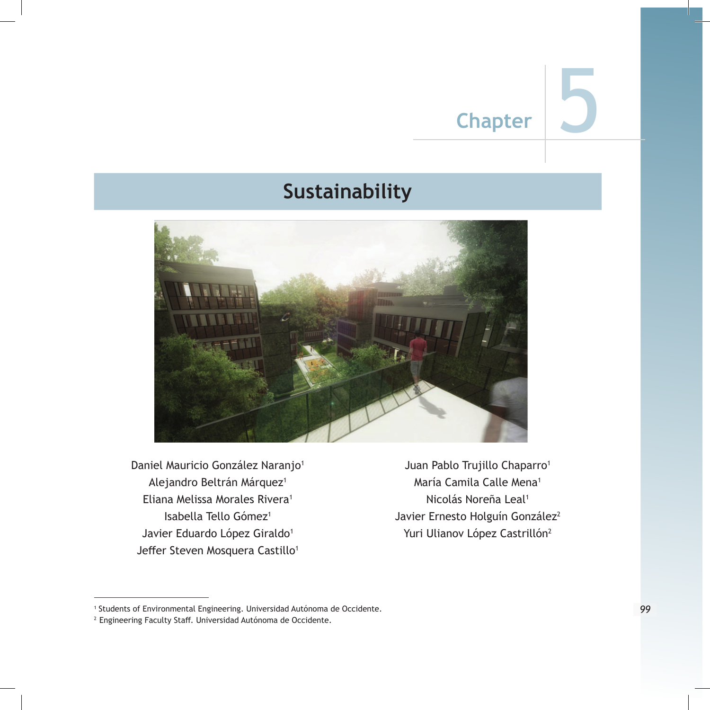# **Sustainability**



Daniel Mauricio González Naranjo<sup>1</sup> Alejandro Beltrán Márquez<sup>1</sup> Eliana Melissa Morales Rivera<sup>1</sup> Isabella Tello Gómez<sup>1</sup> Javier Eduardo López Giraldo<sup>1</sup> Jeffer Steven Mosquera Castillo<sup>1</sup>

Juan Pablo Trujillo Chaparro<sup>1</sup> María Camila Calle Mena<sup>1</sup> Nicolás Noreña Leal<sup>1</sup> Javier Ernesto Holguín González<sup>2</sup> Yuri Ulianov López Castrillón<sup>2</sup>

<sup>1</sup> Students of Environmental Engineering. Universidad Autónoma de Occidente.

<sup>2</sup> Engineering Faculty Staff. Universidad Autónoma de Occidente.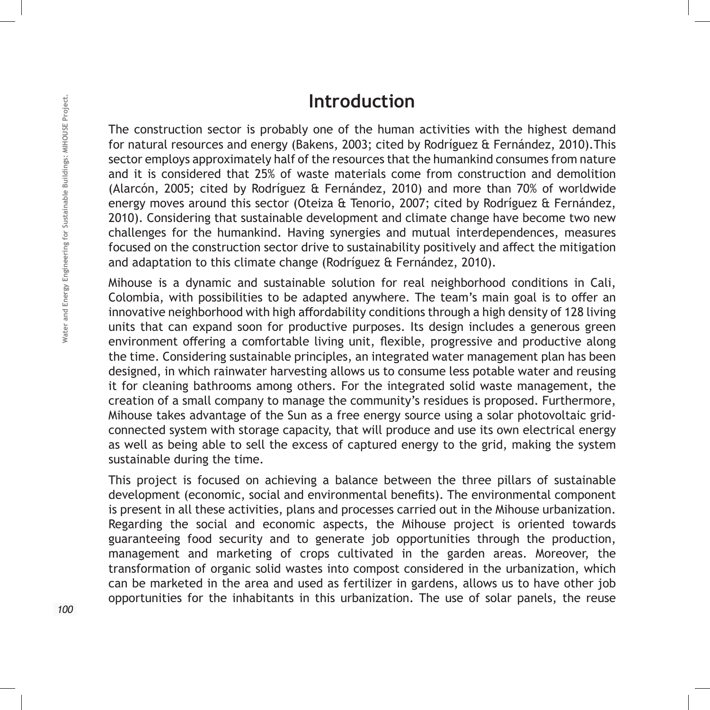## **Introduction**

The construction sector is probably one of the human activities with the highest demand for natural resources and energy (Bakens, 2003; cited by Rodríguez & Fernández, 2010).This sector employs approximately half of the resources that the humankind consumes from nature and it is considered that 25% of waste materials come from construction and demolition (Alarcón, 2005; cited by Rodríguez & Fernández, 2010) and more than 70% of worldwide energy moves around this sector (Oteiza & Tenorio, 2007; cited by Rodríguez & Fernández, 2010). Considering that sustainable development and climate change have become two new challenges for the humankind. Having synergies and mutual interdependences, measures focused on the construction sector drive to sustainability positively and affect the mitigation and adaptation to this climate change (Rodríguez & Fernández, 2010).

Mihouse is a dynamic and sustainable solution for real neighborhood conditions in Cali, Colombia, with possibilities to be adapted anywhere. The team's main goal is to offer an innovative neighborhood with high affordability conditions through a high density of 128 living units that can expand soon for productive purposes. Its design includes a generous green environment offering a comfortable living unit, flexible, progressive and productive along the time. Considering sustainable principles, an integrated water management plan has been designed, in which rainwater harvesting allows us to consume less potable water and reusing it for cleaning bathrooms among others. For the integrated solid waste management, the creation of a small company to manage the community's residues is proposed. Furthermore, Mihouse takes advantage of the Sun as a free energy source using a solar photovoltaic gridconnected system with storage capacity, that will produce and use its own electrical energy as well as being able to sell the excess of captured energy to the grid, making the system sustainable during the time.

This project is focused on achieving a balance between the three pillars of sustainable development (economic, social and environmental benefits). The environmental component is present in all these activities, plans and processes carried out in the Mihouse urbanization. Regarding the social and economic aspects, the Mihouse project is oriented towards guaranteeing food security and to generate job opportunities through the production, management and marketing of crops cultivated in the garden areas. Moreover, the transformation of organic solid wastes into compost considered in the urbanization, which can be marketed in the area and used as fertilizer in gardens, allows us to have other job opportunities for the inhabitants in this urbanization. The use of solar panels, the reuse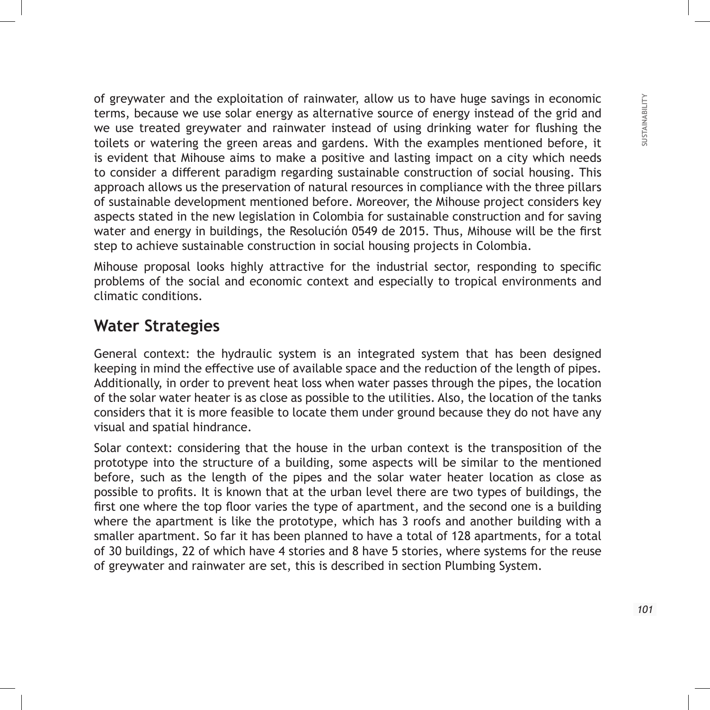of greywater and the exploitation of rainwater, allow us to have huge savings in economic terms, because we use solar energy as alternative source of energy instead of the grid and we use treated greywater and rainwater instead of using drinking water for flushing the toilets or watering the green areas and gardens. With the examples mentioned before, it is evident that Mihouse aims to make a positive and lasting impact on a city which needs to consider a different paradigm regarding sustainable construction of social housing. This approach allows us the preservation of natural resources in compliance with the three pillars of sustainable development mentioned before. Moreover, the Mihouse project considers key aspects stated in the new legislation in Colombia for sustainable construction and for saving water and energy in buildings, the Resolución 0549 de 2015. Thus, Mihouse will be the first step to achieve sustainable construction in social housing projects in Colombia.

Mihouse proposal looks highly attractive for the industrial sector, responding to specific problems of the social and economic context and especially to tropical environments and climatic conditions.

## **Water Strategies**

General context: the hydraulic system is an integrated system that has been designed keeping in mind the effective use of available space and the reduction of the length of pipes. Additionally, in order to prevent heat loss when water passes through the pipes, the location of the solar water heater is as close as possible to the utilities. Also, the location of the tanks considers that it is more feasible to locate them under ground because they do not have any visual and spatial hindrance.

Solar context: considering that the house in the urban context is the transposition of the prototype into the structure of a building, some aspects will be similar to the mentioned before, such as the length of the pipes and the solar water heater location as close as possible to profits. It is known that at the urban level there are two types of buildings, the first one where the top floor varies the type of apartment, and the second one is a building where the apartment is like the prototype, which has 3 roofs and another building with a smaller apartment. So far it has been planned to have a total of 128 apartments, for a total of 30 buildings, 22 of which have 4 stories and 8 have 5 stories, where systems for the reuse of greywater and rainwater are set, this is described in section Plumbing System.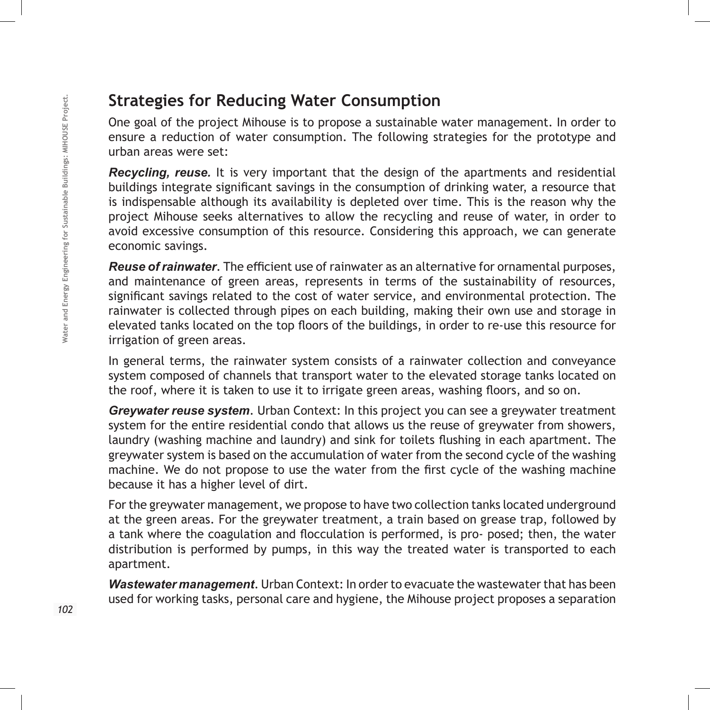## **Strategies for Reducing Water Consumption**

One goal of the project Mihouse is to propose a sustainable water management. In order to ensure a reduction of water consumption. The following strategies for the prototype and urban areas were set:

*Recycling, reuse.* It is very important that the design of the apartments and residential buildings integrate significant savings in the consumption of drinking water, a resource that is indispensable although its availability is depleted over time. This is the reason why the project Mihouse seeks alternatives to allow the recycling and reuse of water, in order to avoid excessive consumption of this resource. Considering this approach, we can generate economic savings.

*Reuse of rainwater*. The efficient use of rainwater as an alternative for ornamental purposes, and maintenance of green areas, represents in terms of the sustainability of resources, significant savings related to the cost of water service, and environmental protection. The rainwater is collected through pipes on each building, making their own use and storage in elevated tanks located on the top floors of the buildings, in order to re-use this resource for irrigation of green areas.

In general terms, the rainwater system consists of a rainwater collection and conveyance system composed of channels that transport water to the elevated storage tanks located on the roof, where it is taken to use it to irrigate green areas, washing floors, and so on.

*Greywater reuse system*. Urban Context: In this project you can see a greywater treatment system for the entire residential condo that allows us the reuse of greywater from showers, laundry (washing machine and laundry) and sink for toilets flushing in each apartment. The greywater system is based on the accumulation of water from the second cycle of the washing machine. We do not propose to use the water from the first cycle of the washing machine because it has a higher level of dirt.

For the greywater management, we propose to have two collection tanks located underground at the green areas. For the greywater treatment, a train based on grease trap, followed by a tank where the coagulation and flocculation is performed, is pro- posed; then, the water distribution is performed by pumps, in this way the treated water is transported to each apartment.

*Wastewater management*. Urban Context: In order to evacuate the wastewater that has been used for working tasks, personal care and hygiene, the Mihouse project proposes a separation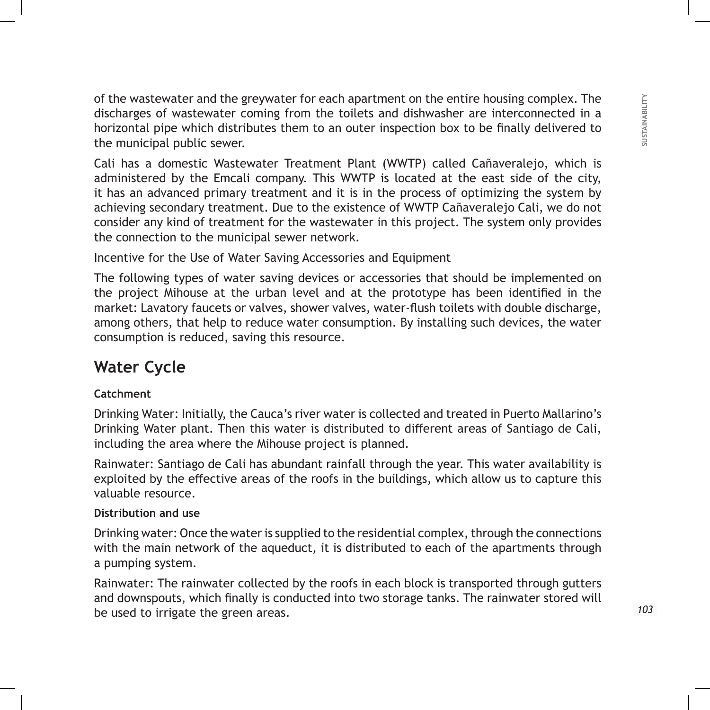of the wastewater and the greywater for each apartment on the entire housing complex. The discharges of wastewater coming from the toilets and dishwasher are interconnected in a horizontal pipe which distributes them to an outer inspection box to be finally delivered to the municipal public sewer.

Cali has a domestic Wastewater Treatment Plant (WWTP) called Cañaveralejo, which is administered by the Emcali company. This WWTP is located at the east side of the city, it has an advanced primary treatment and it is in the process of optimizing the system by achieving secondary treatment. Due to the existence of WWTP Cañaveralejo Cali, we do not consider any kind of treatment for the wastewater in this project. The system only provides the connection to the municipal sewer network.

Incentive for the Use of Water Saving Accessories and Equipment

The following types of water saving devices or accessories that should be implemented on the project Mihouse at the urban level and at the prototype has been identified in the market: Lavatory faucets or valves, shower valves, water-flush toilets with double discharge, among others, that help to reduce water consumption. By installing such devices, the water consumption is reduced, saving this resource.

## **Water Cycle**

### **Catchment**

Drinking Water: Initially, the Cauca's river water is collected and treated in Puerto Mallarino's Drinking Water plant. Then this water is distributed to different areas of Santiago de Cali, including the area where the Mihouse project is planned.

Rainwater: Santiago de Cali has abundant rainfall through the year. This water availability is exploited by the effective areas of the roofs in the buildings, which allow us to capture this valuable resource.

### **Distribution and use**

Drinking water: Once the water is supplied to the residential complex, through the connections with the main network of the aqueduct, it is distributed to each of the apartments through a pumping system.

Rainwater: The rainwater collected by the roofs in each block is transported through gutters and downspouts, which finally is conducted into two storage tanks. The rainwater stored will be used to irrigate the green areas.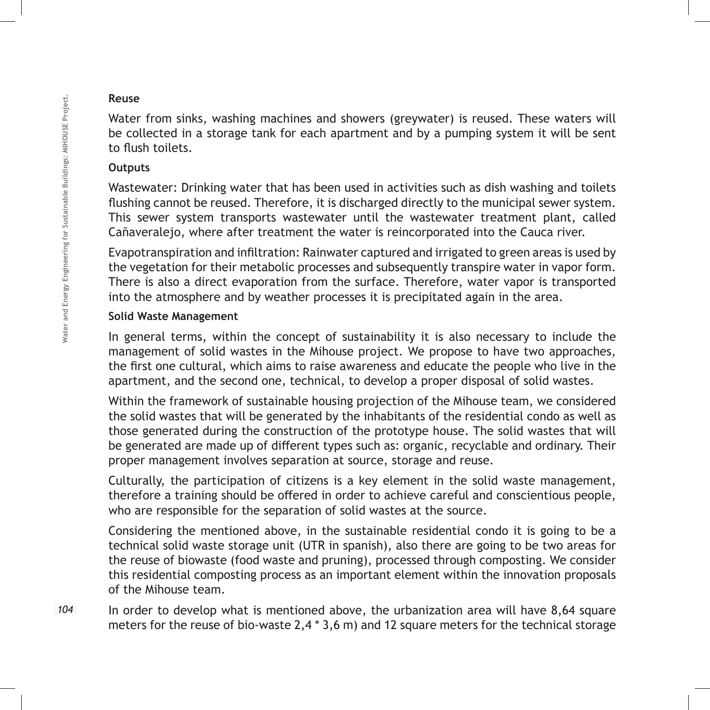### **Reuse**

Water from sinks, washing machines and showers (greywater) is reused. These waters will be collected in a storage tank for each apartment and by a pumping system it will be sent to flush toilets.

### **Outputs**

Wastewater: Drinking water that has been used in activities such as dish washing and toilets flushing cannot be reused. Therefore, it is discharged directly to the municipal sewer system. This sewer system transports wastewater until the wastewater treatment plant, called Cañaveralejo, where after treatment the water is reincorporated into the Cauca river.

Evapotranspiration and infiltration: Rainwater captured and irrigated to green areas is used by the vegetation for their metabolic processes and subsequently transpire water in vapor form. There is also a direct evaporation from the surface. Therefore, water vapor is transported into the atmosphere and by weather processes it is precipitated again in the area.

### **Solid Waste Management**

In general terms, within the concept of sustainability it is also necessary to include the management of solid wastes in the Mihouse project. We propose to have two approaches, the first one cultural, which aims to raise awareness and educate the people who live in the apartment, and the second one, technical, to develop a proper disposal of solid wastes.

Within the framework of sustainable housing projection of the Mihouse team, we considered the solid wastes that will be generated by the inhabitants of the residential condo as well as those generated during the construction of the prototype house. The solid wastes that will be generated are made up of different types such as: organic, recyclable and ordinary. Their proper management involves separation at source, storage and reuse.

Culturally, the participation of citizens is a key element in the solid waste management, therefore a training should be offered in order to achieve careful and conscientious people, who are responsible for the separation of solid wastes at the source.

Considering the mentioned above, in the sustainable residential condo it is going to be a technical solid waste storage unit (UTR in spanish), also there are going to be two areas for the reuse of biowaste (food waste and pruning), processed through composting. We consider this residential composting process as an important element within the innovation proposals of the Mihouse team.

In order to develop what is mentioned above, the urbanization area will have 8,64 square meters for the reuse of bio-waste 2,4 \* 3,6 m) and 12 square meters for the technical storage

104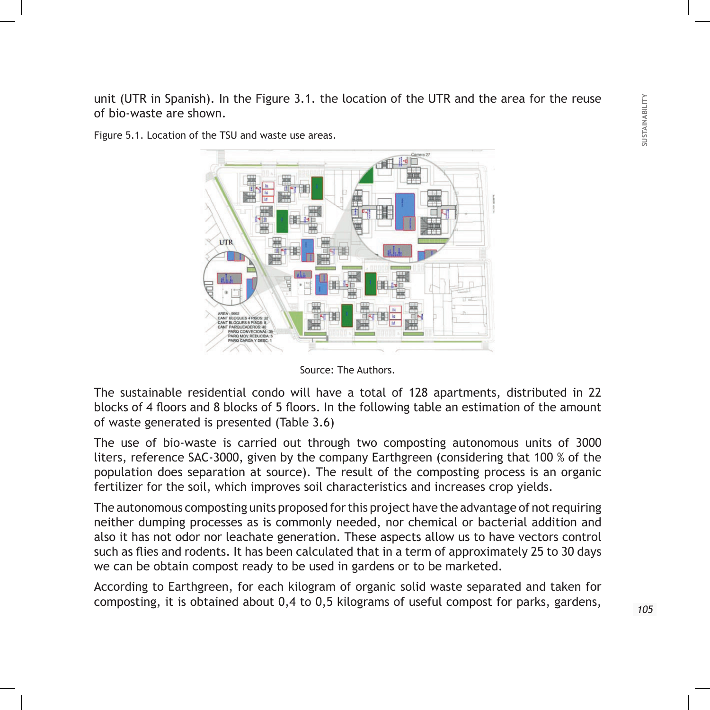unit (UTR in Spanish). In the Figure 3.1. the location of the UTR and the area for the reuse of bio-waste are shown.

**LITE** 

Figure 5.1. Location of the TSU and waste use areas.



The sustainable residential condo will have a total of 128 apartments, distributed in 22 blocks of 4 floors and 8 blocks of 5 floors. In the following table an estimation of the amount of waste generated is presented (Table 3.6)

The use of bio-waste is carried out through two composting autonomous units of 3000 liters, reference SAC-3000, given by the company Earthgreen (considering that 100 % of the population does separation at source). The result of the composting process is an organic fertilizer for the soil, which improves soil characteristics and increases crop yields.

The autonomous composting units proposed for this project have the advantage of not requiring neither dumping processes as is commonly needed, nor chemical or bacterial addition and also it has not odor nor leachate generation. These aspects allow us to have vectors control such as flies and rodents. It has been calculated that in a term of approximately 25 to 30 days we can be obtain compost ready to be used in gardens or to be marketed.

According to Earthgreen, for each kilogram of organic solid waste separated and taken for composting, it is obtained about 0,4 to 0,5 kilograms of useful compost for parks, gardens,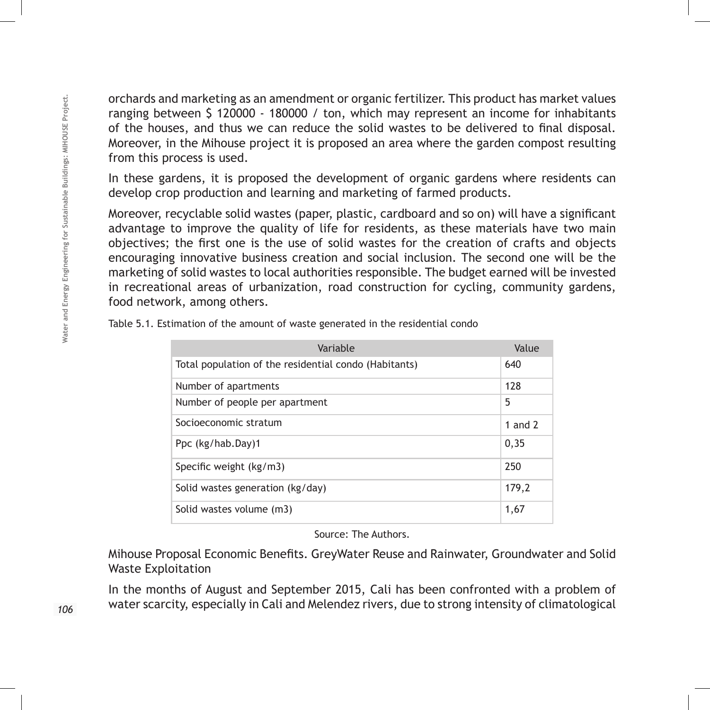orchards and marketing as an amendment or organic fertilizer. This product has market values ranging between \$ 120000 - 180000 / ton, which may represent an income for inhabitants of the houses, and thus we can reduce the solid wastes to be delivered to final disposal. Moreover, in the Mihouse project it is proposed an area where the garden compost resulting from this process is used.

In these gardens, it is proposed the development of organic gardens where residents can develop crop production and learning and marketing of farmed products.

Moreover, recyclable solid wastes (paper, plastic, cardboard and so on) will have a significant advantage to improve the quality of life for residents, as these materials have two main objectives; the first one is the use of solid wastes for the creation of crafts and objects encouraging innovative business creation and social inclusion. The second one will be the marketing of solid wastes to local authorities responsible. The budget earned will be invested in recreational areas of urbanization, road construction for cycling, community gardens, food network, among others.

| Variable                                              | Value     |
|-------------------------------------------------------|-----------|
| Total population of the residential condo (Habitants) | 640       |
| Number of apartments                                  | 128       |
| Number of people per apartment                        | 5         |
| Socioeconomic stratum                                 | 1 and $2$ |
| Ppc (kg/hab.Day)1                                     | 0,35      |
| Specific weight (kg/m3)                               | 250       |
| Solid wastes generation (kg/day)                      | 179,2     |
| Solid wastes volume (m3)                              | 1,67      |

Table 5.1. Estimation of the amount of waste generated in the residential condo

Source: The Authors.

Mihouse Proposal Economic Benefits. GreyWater Reuse and Rainwater, Groundwater and Solid Waste Exploitation

In the months of August and September 2015, Cali has been confronted with a problem of water scarcity, especially in Cali and Melendez rivers, due to strong intensity of climatological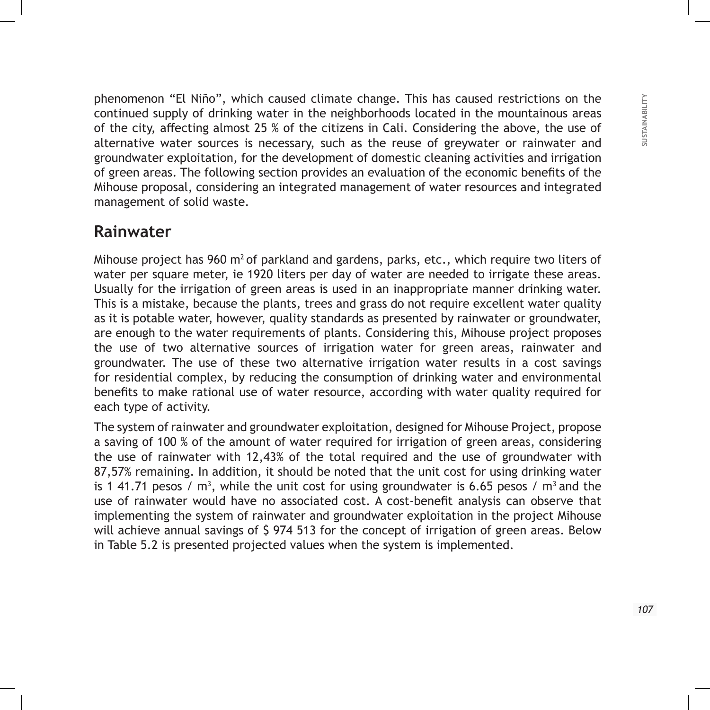phenomenon "El Niño", which caused climate change. This has caused restrictions on the continued supply of drinking water in the neighborhoods located in the mountainous areas of the city, affecting almost 25 % of the citizens in Cali. Considering the above, the use of alternative water sources is necessary, such as the reuse of greywater or rainwater and groundwater exploitation, for the development of domestic cleaning activities and irrigation of green areas. The following section provides an evaluation of the economic benefits of the Mihouse proposal, considering an integrated management of water resources and integrated management of solid waste.

## **Rainwater**

Mihouse project has 960  $m^2$  of parkland and gardens, parks, etc., which require two liters of water per square meter, ie 1920 liters per day of water are needed to irrigate these areas. Usually for the irrigation of green areas is used in an inappropriate manner drinking water. This is a mistake, because the plants, trees and grass do not require excellent water quality as it is potable water, however, quality standards as presented by rainwater or groundwater, are enough to the water requirements of plants. Considering this, Mihouse project proposes the use of two alternative sources of irrigation water for green areas, rainwater and groundwater. The use of these two alternative irrigation water results in a cost savings for residential complex, by reducing the consumption of drinking water and environmental benefits to make rational use of water resource, according with water quality required for each type of activity.

The system of rainwater and groundwater exploitation, designed for Mihouse Project, propose a saving of 100 % of the amount of water required for irrigation of green areas, considering the use of rainwater with 12,43% of the total required and the use of groundwater with 87,57% remaining. In addition, it should be noted that the unit cost for using drinking water is 1 41.71 pesos / m<sup>3</sup>, while the unit cost for using groundwater is 6.65 pesos / m<sup>3</sup> and the use of rainwater would have no associated cost. A cost-benefit analysis can observe that implementing the system of rainwater and groundwater exploitation in the project Mihouse will achieve annual savings of \$ 974 513 for the concept of irrigation of green areas. Below in Table 5.2 is presented projected values when the system is implemented.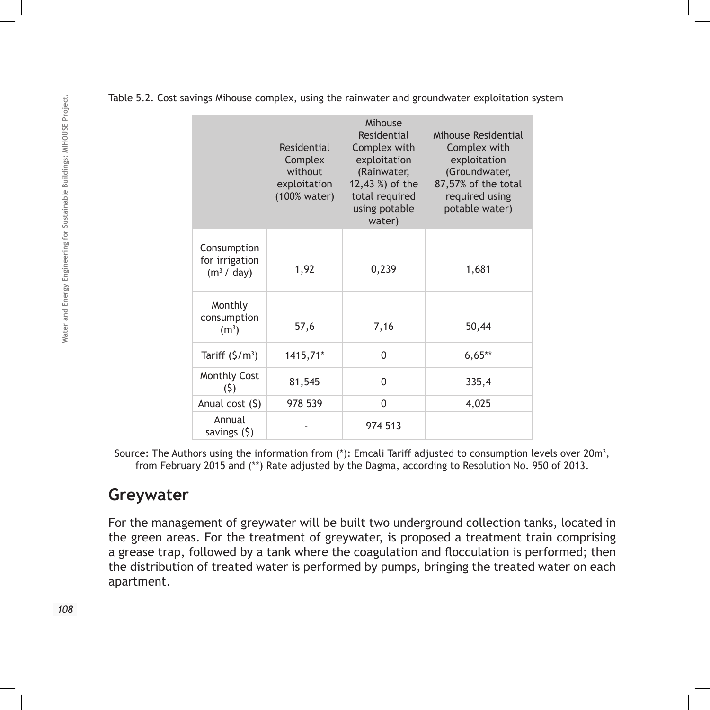|                                                        | Residential<br>Complex<br>without<br>exploitation<br>(100% water) | Mihouse<br>Residential<br>Complex with<br>exploitation<br>(Rainwater,<br>12,43 %) of the<br>total required<br>using potable<br>water) | Mihouse Residential<br>Complex with<br>exploitation<br>(Groundwater,<br>87,57% of the total<br>required using<br>potable water) |
|--------------------------------------------------------|-------------------------------------------------------------------|---------------------------------------------------------------------------------------------------------------------------------------|---------------------------------------------------------------------------------------------------------------------------------|
| Consumption<br>for irrigation<br>(m <sup>3</sup> /day) | 1,92                                                              | 0,239                                                                                                                                 | 1,681                                                                                                                           |
| Monthly<br>consumption<br>(m <sup>3</sup> )            | 57,6                                                              | 7,16                                                                                                                                  | 50,44                                                                                                                           |
| Tariff $(\frac{\zeta}{m^3})$                           | 1415,71*                                                          | 0                                                                                                                                     | $6,65**$                                                                                                                        |
| <b>Monthly Cost</b><br>(5)                             | 81,545                                                            | 0                                                                                                                                     | 335,4                                                                                                                           |
| Anual cost $(5)$                                       | 978 539                                                           | 0                                                                                                                                     | 4,025                                                                                                                           |
| Annual<br>savings $(5)$                                |                                                                   | 974 513                                                                                                                               |                                                                                                                                 |

Table 5.2. Cost savings Mihouse complex, using the rainwater and groundwater exploitation system

Source: The Authors using the information from (\*): Emcali Tariff adjusted to consumption levels over 20m<sup>3</sup>, from February 2015 and (\*\*) Rate adjusted by the Dagma, according to Resolution No. 950 of 2013.

### **Greywater**

For the management of greywater will be built two underground collection tanks, located in the green areas. For the treatment of greywater, is proposed a treatment train comprising a grease trap, followed by a tank where the coagulation and flocculation is performed; then the distribution of treated water is performed by pumps, bringing the treated water on each apartment.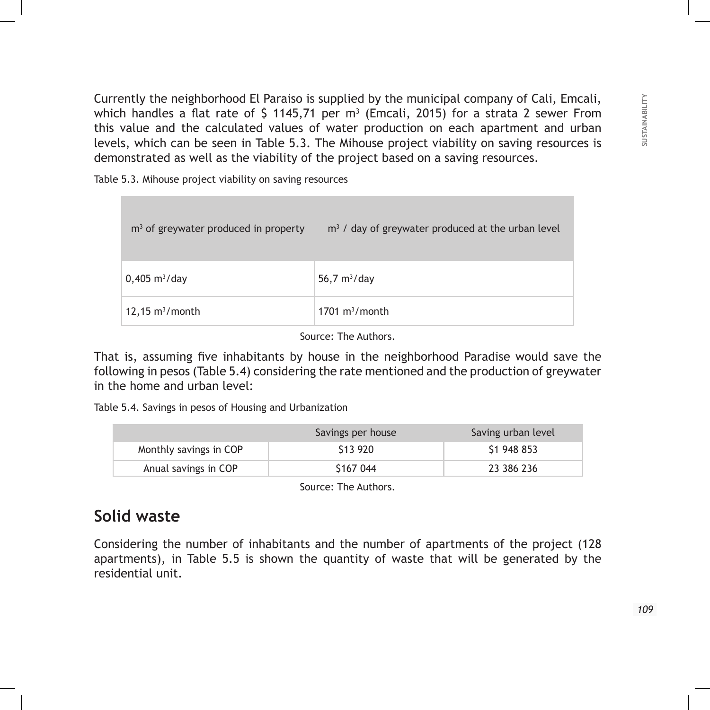Currently the neighborhood El Paraiso is supplied by the municipal company of Cali, Emcali, which handles a flat rate of \$ 1145,71 per m $^3$  (Emcali, 2015) for a strata 2 sewer From this value and the calculated values of water production on each apartment and urban levels, which can be seen in Table 5.3. The Mihouse project viability on saving resources is demonstrated as well as the viability of the project based on a saving resources.

Table 5.3. Mihouse project viability on saving resources

| $m3$ of greywater produced in property | $m3$ / day of greywater produced at the urban level |
|----------------------------------------|-----------------------------------------------------|
| $0,405 \text{ m}^3/\text{day}$         | 56,7 $m^3$ /day                                     |
| $12,15 \text{ m}^3/\text{month}$       | $1701 \text{ m}^3/\text{month}$                     |

Source: The Authors.

That is, assuming five inhabitants by house in the neighborhood Paradise would save the following in pesos (Table 5.4) considering the rate mentioned and the production of greywater in the home and urban level:

Table 5.4. Savings in pesos of Housing and Urbanization

|                        | Savings per house | Saving urban level |
|------------------------|-------------------|--------------------|
| Monthly savings in COP | \$13 920          | \$1 948 853        |
| Anual savings in COP   | \$167 044         | 23 386 236         |

Source: The Authors.

## **Solid waste**

Considering the number of inhabitants and the number of apartments of the project (128 apartments), in Table 5.5 is shown the quantity of waste that will be generated by the residential unit.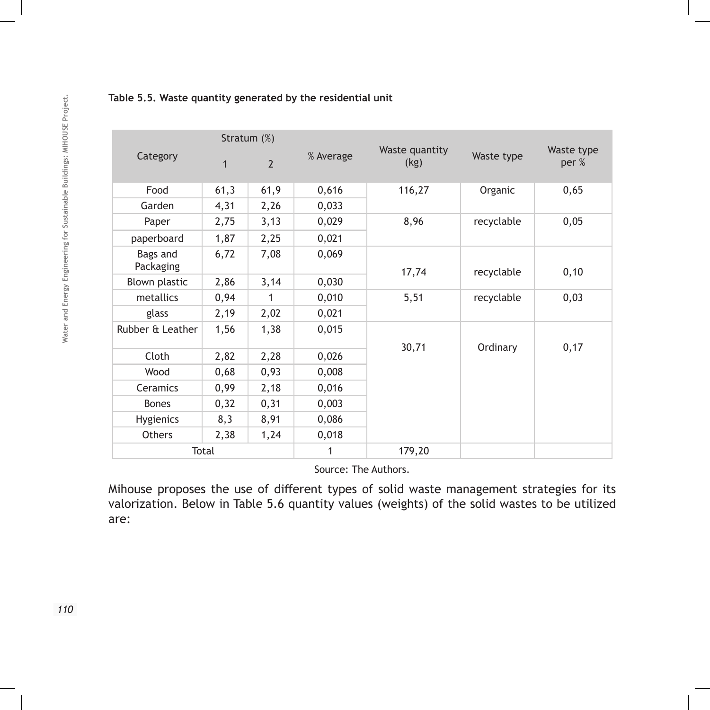|                       |              | Stratum (%)    |           |                        |            |                     |  |
|-----------------------|--------------|----------------|-----------|------------------------|------------|---------------------|--|
| Category              | $\mathbf{1}$ | $\overline{2}$ | % Average | Waste quantity<br>(kg) | Waste type | Waste type<br>per % |  |
| Food                  | 61,3         | 61,9           | 0,616     | 116,27                 | Organic    | 0,65                |  |
| Garden                | 4,31         | 2,26           | 0,033     |                        |            |                     |  |
| Paper                 | 2,75         | 3,13           | 0,029     | 8,96                   | recyclable | 0,05                |  |
| paperboard            | 1,87         | 2,25           | 0,021     |                        |            |                     |  |
| Bags and<br>Packaging | 6,72         | 7,08           | 0,069     | 17,74                  | recyclable | 0, 10               |  |
| Blown plastic         | 2,86         | 3,14           | 0,030     |                        |            |                     |  |
| metallics             | 0,94         | 1              | 0,010     | 5,51                   | recyclable | 0,03                |  |
| glass                 | 2,19         | 2,02           | 0,021     |                        |            |                     |  |
| Rubber & Leather      | 1,56         | 1,38           | 0,015     | 30,71                  | Ordinary   | 0,17                |  |
| Cloth                 | 2,82         | 2,28           | 0,026     |                        |            |                     |  |
| Wood                  | 0,68         | 0,93           | 0,008     |                        |            |                     |  |
| Ceramics              | 0,99         | 2,18           | 0,016     |                        |            |                     |  |
| <b>Bones</b>          | 0,32         | 0,31           | 0,003     |                        |            |                     |  |
| Hygienics             | 8,3          | 8,91           | 0,086     |                        |            |                     |  |
| Others                | 2,38         | 1,24           | 0,018     |                        |            |                     |  |
| Total                 |              |                | 1         | 179,20                 |            |                     |  |

**Table 5.5. Waste quantity generated by the residential unit**

Source: The Authors.

Mihouse proposes the use of different types of solid waste management strategies for its valorization. Below in Table 5.6 quantity values (weights) of the solid wastes to be utilized are:

110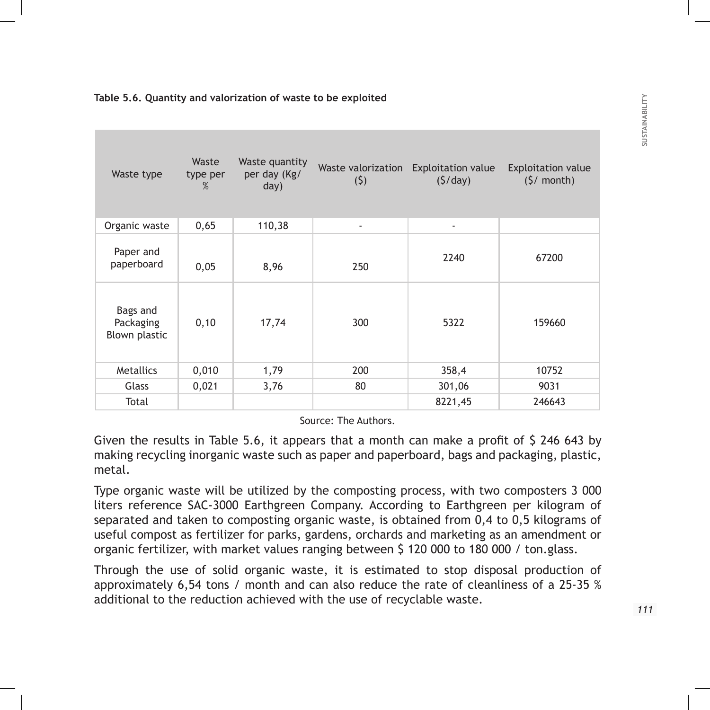#### **Table 5.6. Quantity and valorization of waste to be exploited**

| Waste type                             | Waste<br>type per<br>% | Waste quantity<br>per day (Kg/<br>day) | (5)                      | Waste valorization Exploitation value<br>(5/day) | <b>Exploitation value</b><br>$(5/$ month) |
|----------------------------------------|------------------------|----------------------------------------|--------------------------|--------------------------------------------------|-------------------------------------------|
| Organic waste                          | 0,65                   | 110,38                                 | $\overline{\phantom{a}}$ | $\overline{\phantom{a}}$                         |                                           |
| Paper and<br>paperboard                | 0,05                   | 8,96                                   | 250                      | 2240                                             | 67200                                     |
| Bags and<br>Packaging<br>Blown plastic | 0, 10                  | 17,74                                  | 300                      | 5322                                             | 159660                                    |
| Metallics                              | 0,010                  | 1,79                                   | 200                      | 358,4                                            | 10752                                     |
| Glass                                  | 0,021                  | 3,76                                   | 80                       | 301,06                                           | 9031                                      |
| Total                                  |                        |                                        |                          | 8221,45                                          | 246643                                    |

Source: The Authors.

Given the results in Table 5.6, it appears that a month can make a profit of \$ 246 643 by making recycling inorganic waste such as paper and paperboard, bags and packaging, plastic, metal.

Type organic waste will be utilized by the composting process, with two composters 3 000 liters reference SAC-3000 Earthgreen Company. According to Earthgreen per kilogram of separated and taken to composting organic waste, is obtained from 0,4 to 0,5 kilograms of useful compost as fertilizer for parks, gardens, orchards and marketing as an amendment or organic fertilizer, with market values ranging between \$ 120 000 to 180 000 / ton.glass.

Through the use of solid organic waste, it is estimated to stop disposal production of approximately 6,54 tons / month and can also reduce the rate of cleanliness of a 25-35 % additional to the reduction achieved with the use of recyclable waste.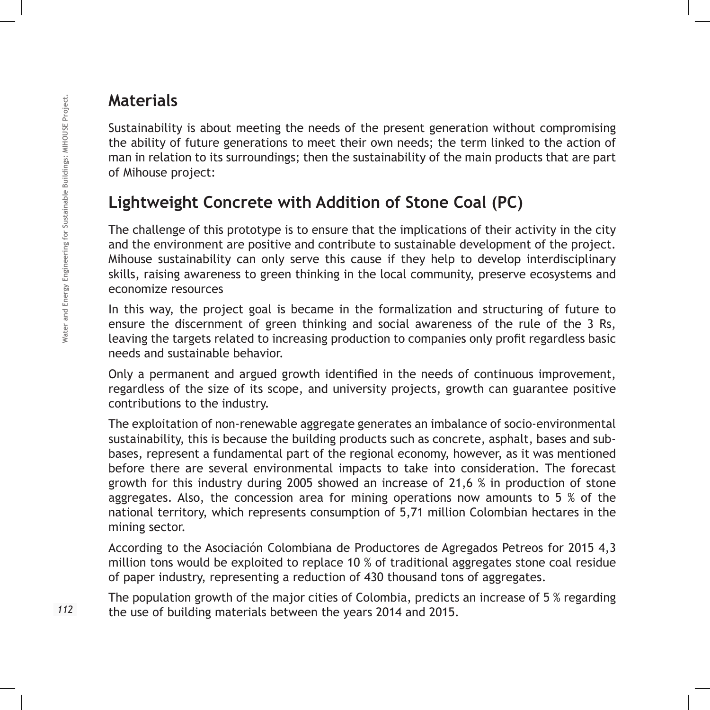## **Materials**

Sustainability is about meeting the needs of the present generation without compromising the ability of future generations to meet their own needs; the term linked to the action of man in relation to its surroundings; then the sustainability of the main products that are part of Mihouse project:

## **Lightweight Concrete with Addition of Stone Coal (PC)**

The challenge of this prototype is to ensure that the implications of their activity in the city and the environment are positive and contribute to sustainable development of the project. Mihouse sustainability can only serve this cause if they help to develop interdisciplinary skills, raising awareness to green thinking in the local community, preserve ecosystems and economize resources

In this way, the project goal is became in the formalization and structuring of future to ensure the discernment of green thinking and social awareness of the rule of the 3 Rs, leaving the targets related to increasing production to companies only profit regardless basic needs and sustainable behavior.

Only a permanent and argued growth identified in the needs of continuous improvement, regardless of the size of its scope, and university projects, growth can guarantee positive contributions to the industry.

The exploitation of non-renewable aggregate generates an imbalance of socio-environmental sustainability, this is because the building products such as concrete, asphalt, bases and subbases, represent a fundamental part of the regional economy, however, as it was mentioned before there are several environmental impacts to take into consideration. The forecast growth for this industry during 2005 showed an increase of 21,6 % in production of stone aggregates. Also, the concession area for mining operations now amounts to 5 % of the national territory, which represents consumption of 5,71 million Colombian hectares in the mining sector.

According to the Asociación Colombiana de Productores de Agregados Petreos for 2015 4,3 million tons would be exploited to replace 10 % of traditional aggregates stone coal residue of paper industry, representing a reduction of 430 thousand tons of aggregates.

The population growth of the major cities of Colombia, predicts an increase of 5 % regarding the use of building materials between the years 2014 and 2015.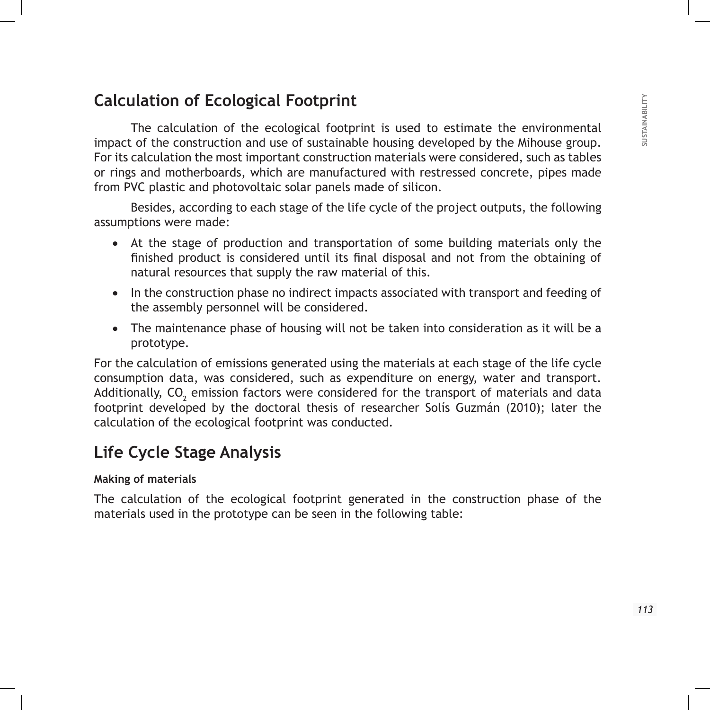## **Calculation of Ecological Footprint**

The calculation of the ecological footprint is used to estimate the environmental impact of the construction and use of sustainable housing developed by the Mihouse group. For its calculation the most important construction materials were considered, such as tables or rings and motherboards, which are manufactured with restressed concrete, pipes made from PVC plastic and photovoltaic solar panels made of silicon.

Besides, according to each stage of the life cycle of the project outputs, the following assumptions were made:

- At the stage of production and transportation of some building materials only the finished product is considered until its final disposal and not from the obtaining of natural resources that supply the raw material of this.
- In the construction phase no indirect impacts associated with transport and feeding of the assembly personnel will be considered.
- The maintenance phase of housing will not be taken into consideration as it will be a prototype.

For the calculation of emissions generated using the materials at each stage of the life cycle consumption data, was considered, such as expenditure on energy, water and transport. Additionally, CO $_{\textrm{\tiny{2}}}$  emission factors were considered for the transport of materials and data footprint developed by the doctoral thesis of researcher Solís Guzmán (2010); later the calculation of the ecological footprint was conducted.

## **Life Cycle Stage Analysis**

#### **Making of materials**

The calculation of the ecological footprint generated in the construction phase of the materials used in the prototype can be seen in the following table: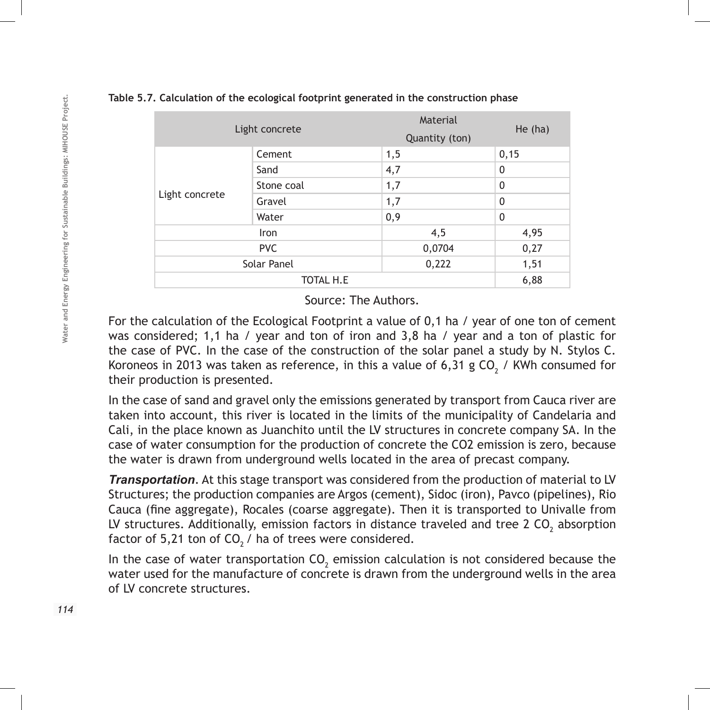### **Table 5.7. Calculation of the ecological footprint generated in the construction phase**

| Light concrete |                  | Material<br>Quantity (ton) | He $(ha)$    |  |  |
|----------------|------------------|----------------------------|--------------|--|--|
|                | Cement           | 1,5                        | 0,15         |  |  |
|                | Sand             | 4,7                        | 0            |  |  |
|                | Stone coal       | 1,7                        | $\mathbf{0}$ |  |  |
| Light concrete | Gravel           | 1,7                        | $\mathbf{0}$ |  |  |
|                | Water            | 0,9                        | $\mathbf{0}$ |  |  |
|                | Iron             | 4,5                        | 4,95         |  |  |
| <b>PVC</b>     |                  | 0,0704                     | 0,27         |  |  |
| Solar Panel    |                  | 0,222                      | 1,51         |  |  |
|                | <b>TOTAL H.E</b> |                            |              |  |  |

Source: The Authors.

For the calculation of the Ecological Footprint a value of 0,1 ha / year of one ton of cement was considered; 1,1 ha / year and ton of iron and 3,8 ha / year and a ton of plastic for the case of PVC. In the case of the construction of the solar panel a study by N. Stylos C. Koroneos in 2013 was taken as reference, in this a value of 6,31 g CO<sub>2</sub> / KWh consumed for their production is presented.

In the case of sand and gravel only the emissions generated by transport from Cauca river are taken into account, this river is located in the limits of the municipality of Candelaria and Cali, in the place known as Juanchito until the LV structures in concrete company SA. In the case of water consumption for the production of concrete the CO2 emission is zero, because the water is drawn from underground wells located in the area of precast company.

*Transportation*. At this stage transport was considered from the production of material to LV Structures; the production companies are Argos (cement), Sidoc (iron), Pavco (pipelines), Rio Cauca (fine aggregate), Rocales (coarse aggregate). Then it is transported to Univalle from LV structures. Additionally, emission factors in distance traveled and tree 2 CO<sub>2</sub> absorption factor of 5,21 ton of  $CO<sub>2</sub>$  / ha of trees were considered.

In the case of water transportation  $\mathsf{CO}_2$  emission calculation is not considered because the water used for the manufacture of concrete is drawn from the underground wells in the area of LV concrete structures.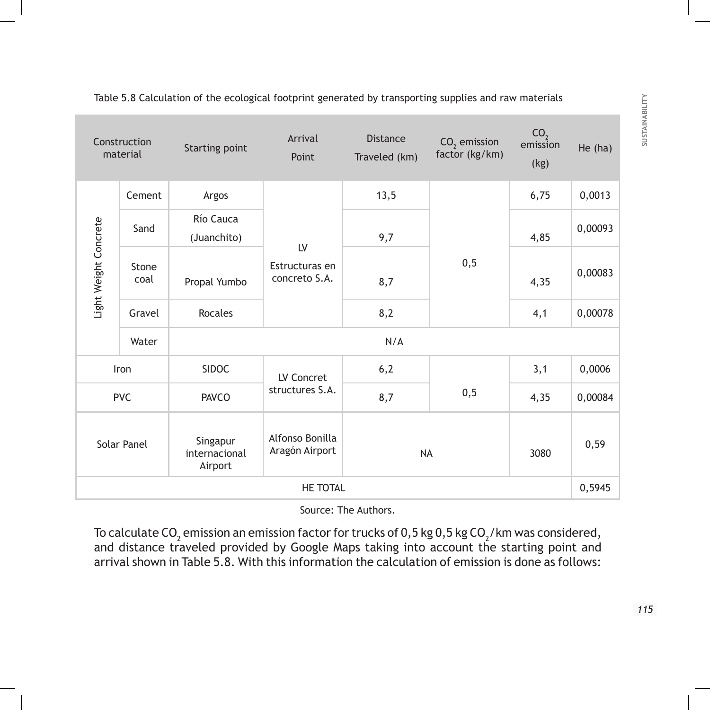|                       | Construction<br>material | Starting point                       | Arrival<br>Point                      | <b>Distance</b><br>Traveled (km) | $CO2$ emission<br>factor (kg/km) | CO <sub>2</sub><br>emission<br>(kg) | He $(ha)$ |  |  |  |
|-----------------------|--------------------------|--------------------------------------|---------------------------------------|----------------------------------|----------------------------------|-------------------------------------|-----------|--|--|--|
| Light Weight Concrete | Cement                   | Argos                                |                                       | 13,5                             |                                  | 6,75                                | 0,0013    |  |  |  |
|                       | Sand                     | Río Cauca<br>(Juanchito)             |                                       | 9,7                              |                                  | 4,85                                | 0,00093   |  |  |  |
|                       | Stone<br>coal            | Propal Yumbo                         | LV<br>Estructuras en<br>concreto S.A. | 8,7                              | 0, 5                             | 4,35                                | 0,00083   |  |  |  |
|                       | Gravel                   | <b>Rocales</b>                       |                                       | 8,2                              |                                  | 4,1                                 | 0,00078   |  |  |  |
|                       | Water                    |                                      | N/A                                   |                                  |                                  |                                     |           |  |  |  |
|                       | Iron                     | <b>SIDOC</b>                         | LV Concret                            | 6,2                              |                                  | 3,1                                 | 0,0006    |  |  |  |
| <b>PVC</b>            |                          | <b>PAVCO</b>                         | structures S.A.                       | 8,7                              | 0, 5                             | 4,35                                | 0,00084   |  |  |  |
| Solar Panel           |                          | Singapur<br>internacional<br>Airport | Alfonso Bonilla<br>Aragón Airport     | <b>NA</b>                        |                                  | 3080                                | 0,59      |  |  |  |
| HE TOTAL              |                          |                                      |                                       |                                  |                                  |                                     |           |  |  |  |

Table 5.8 Calculation of the ecological footprint generated by transporting supplies and raw materials

Source: The Authors.

To calculate CO $_{_2}$  emission an emission factor for trucks of 0,5 kg 0,5 kg CO $_{_2}\prime$ km was considered, and distance traveled provided by Google Maps taking into account the starting point and arrival shown in Table 5.8. With this information the calculation of emission is done as follows: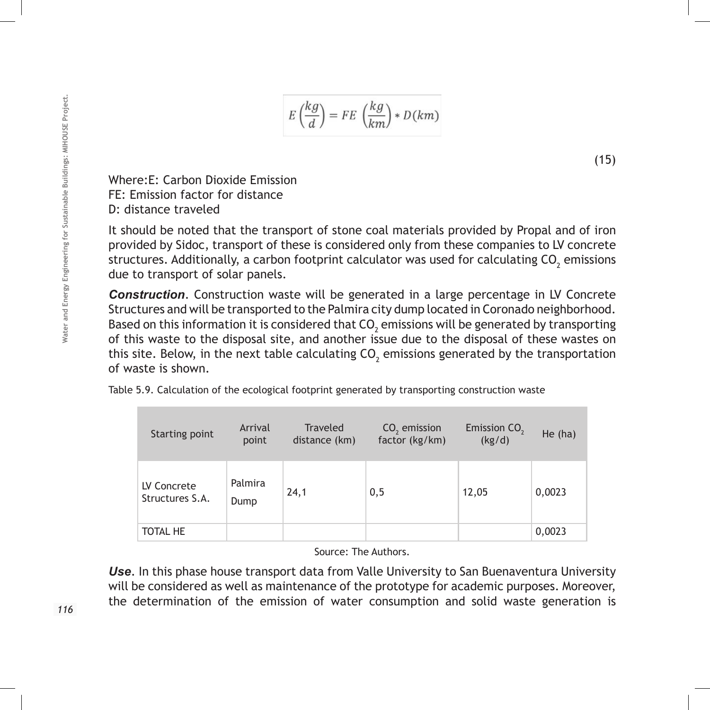$$
E\left(\frac{kg}{d}\right) = FE\left(\frac{kg}{km}\right) * D(km)
$$

(15)

Where:E: Carbon Dioxide Emission FE: Emission factor for distance D: distance traveled

It should be noted that the transport of stone coal materials provided by Propal and of iron provided by Sidoc, transport of these is considered only from these companies to LV concrete structures. Additionally, a carbon footprint calculator was used for calculating CO $_{\textrm{\tiny{2}}}$  emissions due to transport of solar panels.

*Construction*. Construction waste will be generated in a large percentage in LV Concrete Structures and will be transported to the Palmira city dump located in Coronado neighborhood. Based on this information it is considered that  $\mathsf{CO}_2$  emissions will be generated by transporting of this waste to the disposal site, and another issue due to the disposal of these wastes on this site. Below, in the next table calculating CO<sub>2</sub> emissions generated by the transportation of waste is shown.

| Starting point                 | Arrival<br>point | <b>Traveled</b><br>distance (km) | $CO2$ emission<br>factor (kg/km) | Emission CO <sub>2</sub><br>(kg/d) | He $(ha)$ |
|--------------------------------|------------------|----------------------------------|----------------------------------|------------------------------------|-----------|
| LV Concrete<br>Structures S.A. | Palmira<br>Dump  | 24,1                             | 0,5                              | 12,05                              | 0,0023    |
| TOTAL HE                       |                  |                                  |                                  |                                    | 0,0023    |

Table 5.9. Calculation of the ecological footprint generated by transporting construction waste

Source: The Authors.

*Use*. In this phase house transport data from Valle University to San Buenaventura University will be considered as well as maintenance of the prototype for academic purposes. Moreover, the determination of the emission of water consumption and solid waste generation is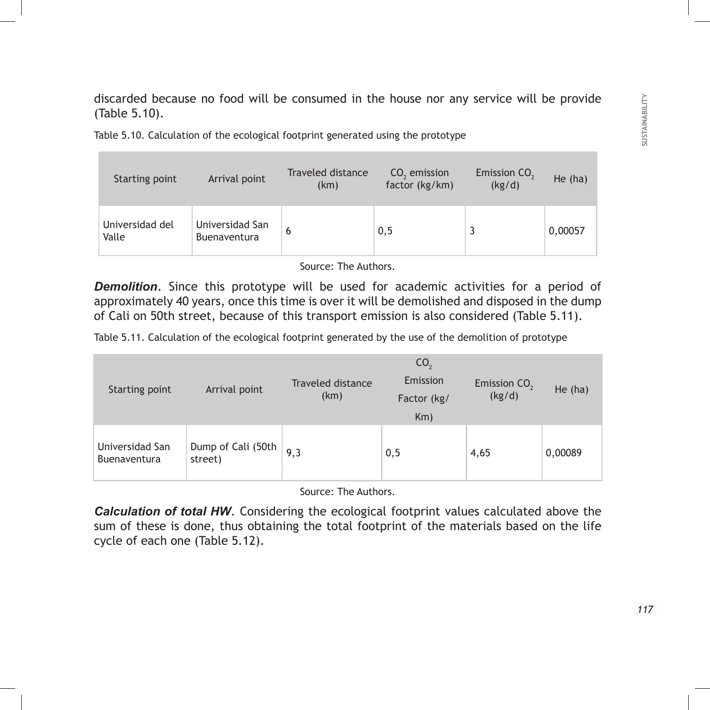discarded because no food will be consumed in the house nor any service will be provide (Table 5.10).

| <b>Starting point</b>    | Arrival point                   | Traveled distance<br>(km) | $CO2$ emission<br>factor (kg/km) | Emission CO <sub>2</sub><br>(kg/d) | He (ha) |
|--------------------------|---------------------------------|---------------------------|----------------------------------|------------------------------------|---------|
| Universidad del<br>Valle | Universidad San<br>Buenaventura | 6                         | 0,5                              |                                    | 0,00057 |

Table 5.10. Calculation of the ecological footprint generated using the prototype

Source: The Authors.

*Demolition*. Since this prototype will be used for academic activities for a period of approximately 40 years, once this time is over it will be demolished and disposed in the dump of Cali on 50th street, because of this transport emission is also considered (Table 5.11).

Table 5.11. Calculation of the ecological footprint generated by the use of the demolition of prototype

| Starting point                         | Arrival point                 | Traveled distance<br>(km) | CO <sub>2</sub><br>Emission<br>Factor (kg/<br>Km) | Emission CO <sub>2</sub><br>(kg/d) | He $(ha)$ |
|----------------------------------------|-------------------------------|---------------------------|---------------------------------------------------|------------------------------------|-----------|
| Universidad San<br><b>Buenaventura</b> | Dump of Cali (50th<br>street) | 9,3                       | 0,5                                               | 4,65                               | 0,00089   |

Source: The Authors.

*Calculation of total HW*. Considering the ecological footprint values calculated above the sum of these is done, thus obtaining the total footprint of the materials based on the life cycle of each one (Table 5.12).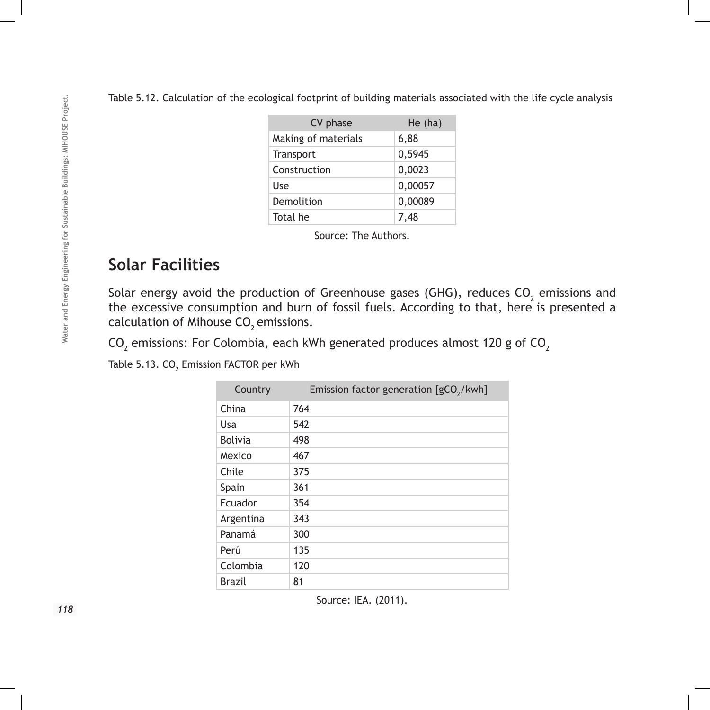|  | Table 5.12. Calculation of the ecological footprint of building materials associated with the life cycle analysis |  |  |  |  |
|--|-------------------------------------------------------------------------------------------------------------------|--|--|--|--|
|  |                                                                                                                   |  |  |  |  |
|  |                                                                                                                   |  |  |  |  |

| He $(ha)$ |
|-----------|
| 6,88      |
| 0,5945    |
| 0,0023    |
| 0,00057   |
| 0,00089   |
| 7,48      |
|           |

Source: The Authors.

## **Solar Facilities**

Solar energy avoid the production of Greenhouse gases (GHG), reduces CO<sub>2</sub> emissions and the excessive consumption and burn of fossil fuels. According to that, here is presented a calculation of Mihouse  $CO<sub>2</sub>$  emissions.

CO $_{\rm 2}$  emissions: For Colombia, each kWh generated produces almost 120 g of CO $_{\rm 2}$ 

Table 5.13. CO $_{\rm _2}$  Emission FACTOR per kWh

| Country        | Emission factor generation $[gCO2/kwh]$ |
|----------------|-----------------------------------------|
| China          | 764                                     |
| Usa            | 542                                     |
| <b>Bolivia</b> | 498                                     |
| Mexico         | 467                                     |
| Chile          | 375                                     |
| Spain          | 361                                     |
| Ecuador        | 354                                     |
| Argentina      | 343                                     |
| Panamá         | 300                                     |
| Perú           | 135                                     |
| Colombia       | 120                                     |
| Brazil         | 81                                      |

Source: IEA. (2011).